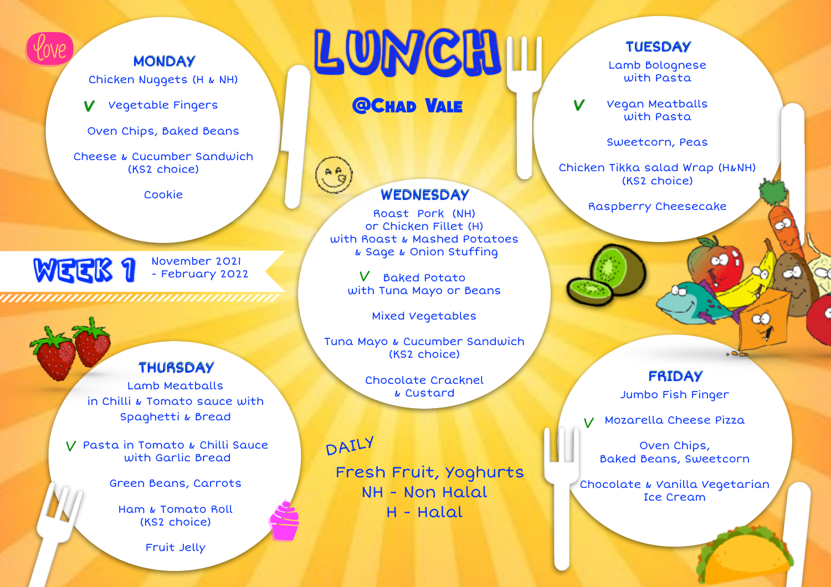**MONDAY** Chicken Nuggets (H & NH)

Vegetable Fingers V

Oven Chips, Baked Beans

Cheese & Cucumber Sandwich (KS2 choice)

Cookie

November 2021 - February 2022

Cookie<br>
WEEK 1 November 2021<br>
WEEK 1 February 2022<br>
WEEK 1 February 2022<br>
WEEK 1 February 2022<br>
With Suite<br>
With Suite<br>
With Suite<br>
With Suite<br>
With Suite<br>
With Suite<br>
With Suite<br>
With Suite<br>
With Suite<br>
With Suite<br>
With S

WEEK 1

(love)

### **THURSDAY**

Lamb Meatballs in Chilli & Tomato sauce with Spaghetti & Bread

Pasta in Tomato & Chilli Sauce V with Garlic Bread

Green Beans, Carrots

Ham & Tomato Roll (KS2 choice)

Fruit Jelly

# LUNCH

**@Chad Vale**

### WEDNESDAY

Roast Pork (NH) or Chicken Fillet (H) with Roast & Mashed Potatoes & Sage & Onion Stuffing

V Baked Potato with Tuna Mayo or Beans

Mixed Vegetables

Tuna Mayo & Cucumber Sandwich (KS2 choice)

> Chocolate Cracknel & Custard

DAILY

S

 Fresh Fruit, Yoghurts NH - Non Halal H - Halal

### **TUESDAY**

Lamb Bolognese with Pasta

Vegan Meatballs with Pasta  $\mathbf v$ 

Sweetcorn, Peas

Chicken Tikka salad Wrap (H&NH) (KS2 choice)

Raspberry Cheesecake

### FRIDAY

Jumbo Fish Finger

Mozarella Cheese Pizza V

Oven Chips, Baked Beans, Sweetcorn

Chocolate & Vanilla Vegetarian Ice Cream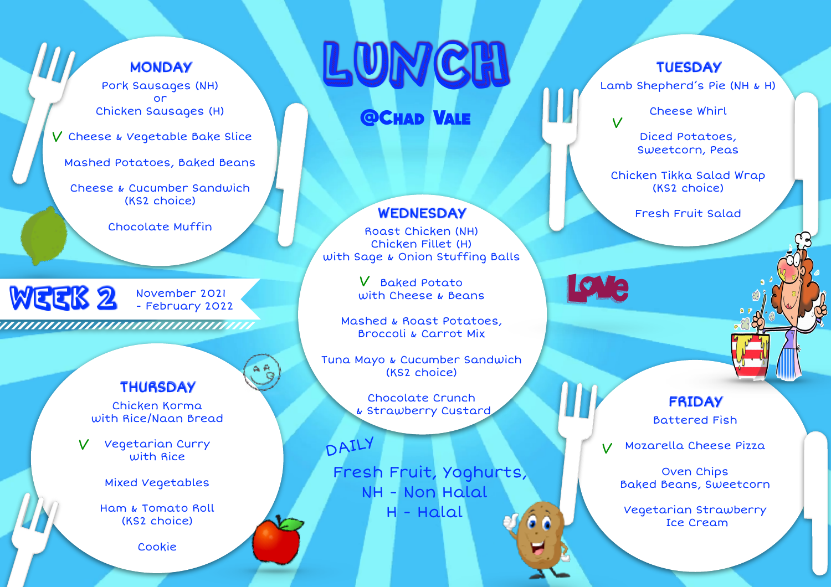### **MONDAY**

Pork Sausages (NH) or Chicken Sausages (H)

V Cheese & Vegetable Bake Slice

Mashed Potatoes, Baked Beans

Cheese & Cucumber Sandwich (KS2 choice)

Chocolate Muffin

Chocolate Muffin<br>WGCK 2 November 2021<br>Hummmmmmmmmmmmmmm WEEK 2 November 2021 - February 2022

### **THURSDAY**

Chicken Korma with Rice/Naan Bread

Vegetarian Curry with Rice V

Mixed Vegetables

Ham & Tomato Roll (KS2 choice)

Cookie

# LUNCH

**@Chad Vale**

#### WEDNESDAY Fresh Fruit Salad

Roast Chicken (NH) Chicken Fillet (H) with Sage & Onion Stuffing Balls

> V Baked Potato with Cheese & Beans

Mashed & Roast Potatoes, Broccoli & Carrot Mix

Tuna Mayo & Cucumber Sandwich (KS2 choice)

> Chocolate Crunch & Strawberry Custard

DAILY

 Fresh Fruit, Yoghurts, NH - Non Halal H - Halal

### **TUESDAY**

Lamb Shepherd's Pie (NH & H)

Cheese Whirl

Diced Potatoes, Sweetcorn, Peas

Chicken Tikka Salad Wrap (KS2 choice)

**o** a

V

FRIDAY Battered Fish

Mozarella Cheese Pizza V

Oven Chips Baked Beans, Sweetcorn

Vegetarian Strawberry Ice Cream